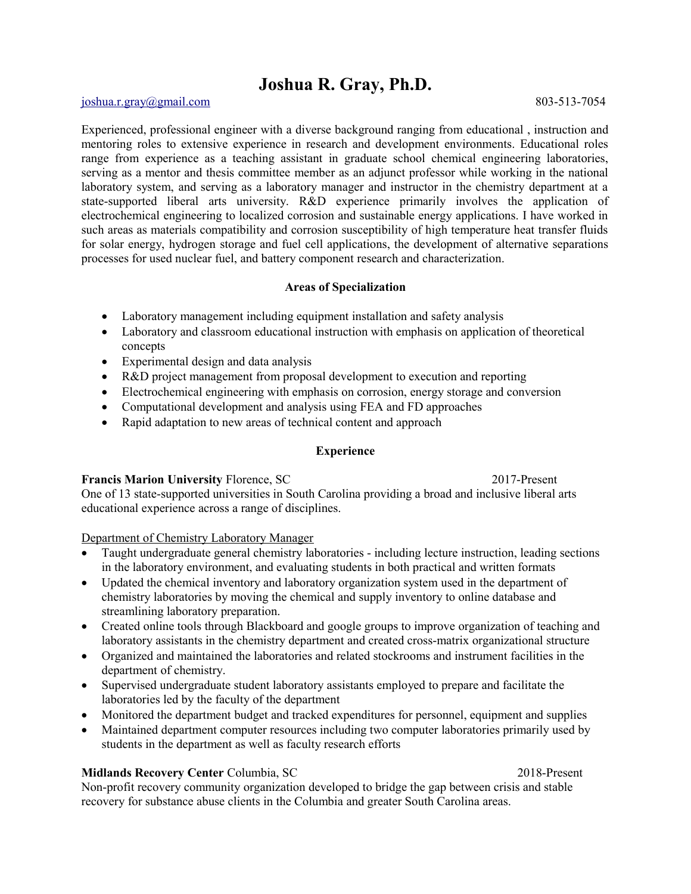# **Joshua R. Gray, Ph.D.**

### [joshua.r.gray@gmail.com](mailto:joshua.r.gray@gmail.com) 803-513-7054

Experienced, professional engineer with a diverse background ranging from educational , instruction and mentoring roles to extensive experience in research and development environments. Educational roles range from experience as a teaching assistant in graduate school chemical engineering laboratories, serving as a mentor and thesis committee member as an adjunct professor while working in the national laboratory system, and serving as a laboratory manager and instructor in the chemistry department at a state-supported liberal arts university. R&D experience primarily involves the application of electrochemical engineering to localized corrosion and sustainable energy applications. I have worked in such areas as materials compatibility and corrosion susceptibility of high temperature heat transfer fluids for solar energy, hydrogen storage and fuel cell applications, the development of alternative separations processes for used nuclear fuel, and battery component research and characterization.

## **Areas of Specialization**

- Laboratory management including equipment installation and safety analysis
- Laboratory and classroom educational instruction with emphasis on application of theoretical concepts
- Experimental design and data analysis
- R&D project management from proposal development to execution and reporting
- Electrochemical engineering with emphasis on corrosion, energy storage and conversion
- Computational development and analysis using FEA and FD approaches
- Rapid adaptation to new areas of technical content and approach

## **Experience**

## **Francis Marion University Florence, SC** 2017-Present

One of 13 state-supported universities in South Carolina providing a broad and inclusive liberal arts educational experience across a range of disciplines.

Department of Chemistry Laboratory Manager

- Taught undergraduate general chemistry laboratories including lecture instruction, leading sections in the laboratory environment, and evaluating students in both practical and written formats
- Updated the chemical inventory and laboratory organization system used in the department of chemistry laboratories by moving the chemical and supply inventory to online database and streamlining laboratory preparation.
- Created online tools through Blackboard and google groups to improve organization of teaching and laboratory assistants in the chemistry department and created cross-matrix organizational structure
- Organized and maintained the laboratories and related stockrooms and instrument facilities in the department of chemistry.
- Supervised undergraduate student laboratory assistants employed to prepare and facilitate the laboratories led by the faculty of the department
- Monitored the department budget and tracked expenditures for personnel, equipment and supplies
- Maintained department computer resources including two computer laboratories primarily used by students in the department as well as faculty research efforts

## **Midlands Recovery Center** Columbia, SC 2018-Present

Non-profit recovery community organization developed to bridge the gap between crisis and stable recovery for substance abuse clients in the Columbia and greater South Carolina areas.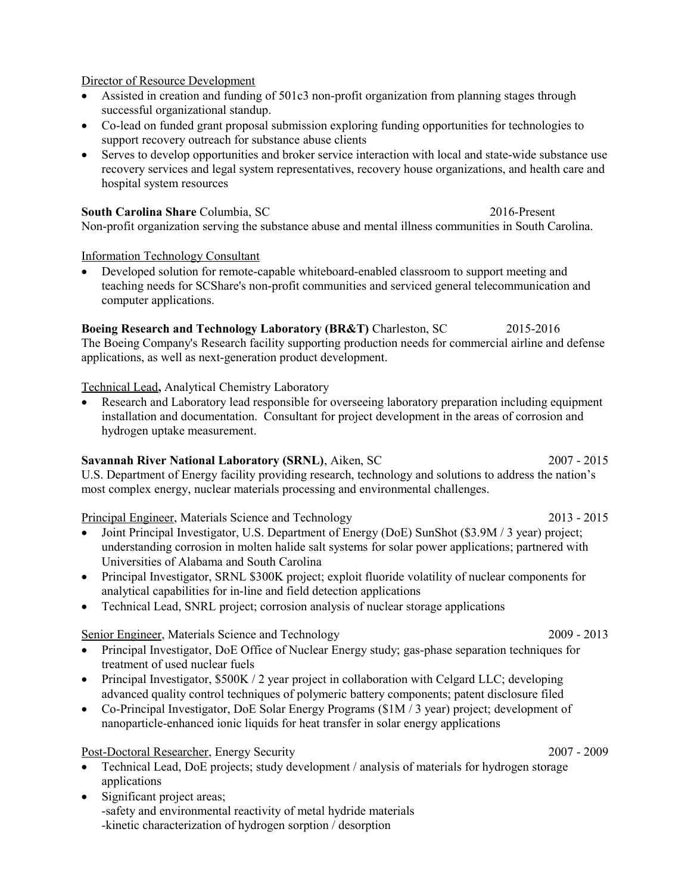## Director of Resource Development

- Assisted in creation and funding of 501c3 non-profit organization from planning stages through successful organizational standup.
- Co-lead on funded grant proposal submission exploring funding opportunities for technologies to support recovery outreach for substance abuse clients
- Serves to develop opportunities and broker service interaction with local and state-wide substance use recovery services and legal system representatives, recovery house organizations, and health care and hospital system resources

**South Carolina Share** Columbia, SC 2016-Present Non-profit organization serving the substance abuse and mental illness communities in South Carolina.

## Information Technology Consultant

 Developed solution for remote-capable whiteboard-enabled classroom to support meeting and teaching needs for SCShare's non-profit communities and serviced general telecommunication and computer applications.

## **Boeing Research and Technology Laboratory (BR&T)** Charleston, SC 2015-2016

The Boeing Company's Research facility supporting production needs for commercial airline and defense applications, as well as next-generation product development.

## Technical Lead**,** Analytical Chemistry Laboratory

 Research and Laboratory lead responsible for overseeing laboratory preparation including equipment installation and documentation. Consultant for project development in the areas of corrosion and hydrogen uptake measurement.

## **Savannah River National Laboratory (SRNL)**, Aiken, SC2007 - 2015

U.S. Department of Energy facility providing research, technology and solutions to address the nation's most complex energy, nuclear materials processing and environmental challenges.

Principal Engineer, Materials Science and Technology 2013 - 2015

- Joint Principal Investigator, U.S. Department of Energy (DoE) SunShot (\$3.9M / 3 year) project; understanding corrosion in molten halide salt systems for solar power applications; partnered with Universities of Alabama and South Carolina
- Principal Investigator, SRNL \$300K project; exploit fluoride volatility of nuclear components for analytical capabilities for in-line and field detection applications
- Technical Lead, SNRL project; corrosion analysis of nuclear storage applications

## Senior Engineer, Materials Science and Technology 2009 - 2013

- Principal Investigator, DoE Office of Nuclear Energy study; gas-phase separation techniques for treatment of used nuclear fuels
- Principal Investigator,  $$500K / 2$  year project in collaboration with Celgard LLC; developing advanced quality control techniques of polymeric battery components; patent disclosure filed
- Co-Principal Investigator, DoE Solar Energy Programs (\$1M / 3 year) project; development of nanoparticle-enhanced ionic liquids for heat transfer in solar energy applications

## Post-Doctoral Researcher, Energy Security 2007 - 2009

- Technical Lead, DoE projects; study development / analysis of materials for hydrogen storage applications
- Significant project areas; -safety and environmental reactivity of metal hydride materials -kinetic characterization of hydrogen sorption / desorption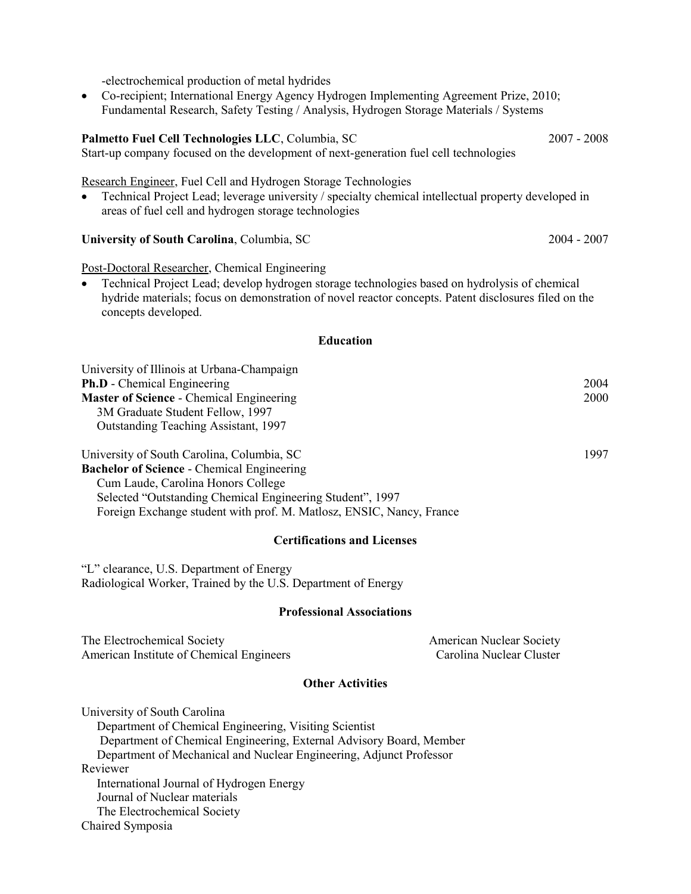-electrochemical production of metal hydrides

 Co-recipient; International Energy Agency Hydrogen Implementing Agreement Prize, 2010; Fundamental Research, Safety Testing / Analysis, Hydrogen Storage Materials / Systems

## **Palmetto Fuel Cell Technologies LLC**, Columbia, SC2007 - 2008

Start-up company focused on the development of next-generation fuel cell technologies

Research Engineer, Fuel Cell and Hydrogen Storage Technologies

• Technical Project Lead; leverage university / specialty chemical intellectual property developed in areas of fuel cell and hydrogen storage technologies

**University of South Carolina**, Columbia, SC2004 - 2007

Post-Doctoral Researcher, Chemical Engineering

 Technical Project Lead; develop hydrogen storage technologies based on hydrolysis of chemical hydride materials; focus on demonstration of novel reactor concepts. Patent disclosures filed on the concepts developed.

#### **Education**

| University of Illinois at Urbana-Champaign        |      |
|---------------------------------------------------|------|
| <b>Ph.D</b> - Chemical Engineering                | 2004 |
| <b>Master of Science - Chemical Engineering</b>   | 2000 |
| 3M Graduate Student Fellow, 1997                  |      |
| Outstanding Teaching Assistant, 1997              |      |
| University of South Carolina, Columbia, SC        | 1997 |
| <b>Bachelor of Science - Chemical Engineering</b> |      |
| Cum Laude, Carolina Honors College                |      |

 Cum Laude, Carolina Honors College Selected "Outstanding Chemical Engineering Student", 1997 Foreign Exchange student with prof. M. Matlosz, ENSIC, Nancy, France

#### **Certifications and Licenses**

"L" clearance, U.S. Department of Energy Radiological Worker, Trained by the U.S. Department of Energy

#### **Professional Associations**

| The Electrochemical Society              | <b>American Nuclear Society</b> |
|------------------------------------------|---------------------------------|
| American Institute of Chemical Engineers | Carolina Nuclear Cluster        |

## **Other Activities**

University of South Carolina Department of Chemical Engineering, Visiting Scientist Department of Chemical Engineering, External Advisory Board, Member Department of Mechanical and Nuclear Engineering, Adjunct Professor Reviewer International Journal of Hydrogen Energy Journal of Nuclear materials The Electrochemical Society Chaired Symposia